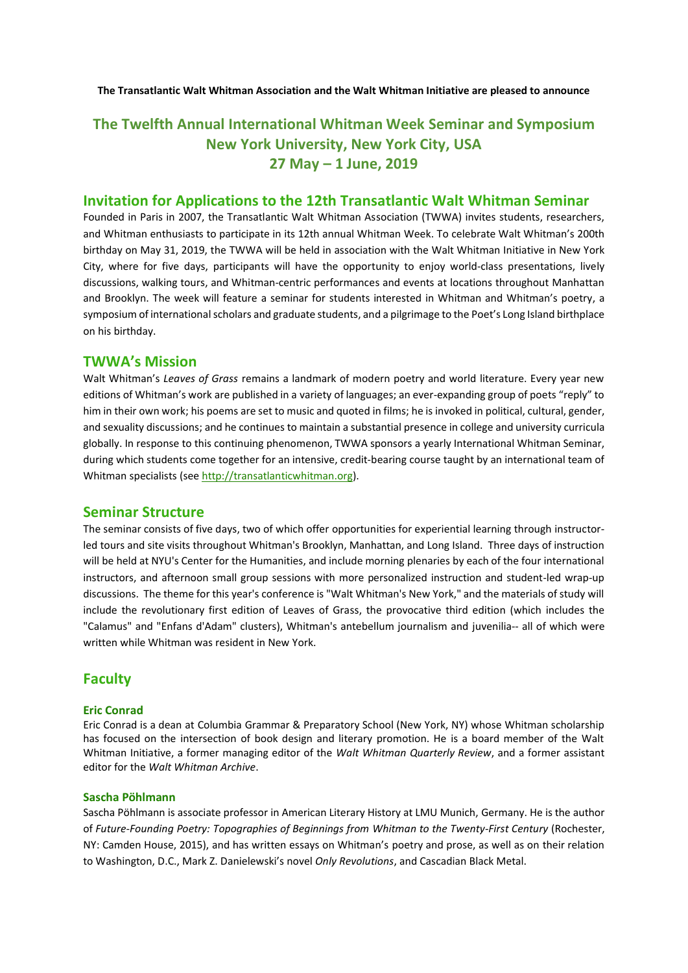**The Transatlantic Walt Whitman Association and the Walt Whitman Initiative are pleased to announce**

# **The Twelfth Annual International Whitman Week Seminar and Symposium New York University, New York City, USA 27 May – 1 June, 2019**

# **Invitation for Applications to the 12th Transatlantic Walt Whitman Seminar**

Founded in Paris in 2007, the Transatlantic Walt Whitman Association (TWWA) invites students, researchers, and Whitman enthusiasts to participate in its 12th annual Whitman Week. To celebrate Walt Whitman's 200th birthday on May 31, 2019, the TWWA will be held in association with the Walt Whitman Initiative in New York City, where for five days, participants will have the opportunity to enjoy world-class presentations, lively discussions, walking tours, and Whitman-centric performances and events at locations throughout Manhattan and Brooklyn. The week will feature a seminar for students interested in Whitman and Whitman's poetry, a symposium of international scholars and graduate students, and a pilgrimage to the Poet's Long Island birthplace on his birthday.

### **TWWA's Mission**

Walt Whitman's *Leaves of Grass* remains a landmark of modern poetry and world literature. Every year new editions of Whitman's work are published in a variety of languages; an ever-expanding group of poets "reply" to him in their own work; his poems are set to music and quoted in films; he is invoked in political, cultural, gender, and sexuality discussions; and he continues to maintain a substantial presence in college and university curricula globally. In response to this continuing phenomenon, TWWA sponsors a yearly International Whitman Seminar, during which students come together for an intensive, credit-bearing course taught by an international team of Whitman specialists (see http://transatlanticwhitman.org).

## **Seminar Structure**

The seminar consists of five days, two of which offer opportunities for experiential learning through instructorled tours and site visits throughout Whitman's Brooklyn, Manhattan, and Long Island. Three days of instruction will be held at NYU's Center for the Humanities, and include morning plenaries by each of the four international instructors, and afternoon small group sessions with more personalized instruction and student-led wrap-up discussions. The theme for this year's conference is "Walt Whitman's New York," and the materials of study will include the revolutionary first edition of Leaves of Grass, the provocative third edition (which includes the "Calamus" and "Enfans d'Adam" clusters), Whitman's antebellum journalism and juvenilia-- all of which were written while Whitman was resident in New York.

# **Faculty**

#### **Eric Conrad**

Eric Conrad is a dean at Columbia Grammar & Preparatory School (New York, NY) whose Whitman scholarship has focused on the intersection of book design and literary promotion. He is a board member of the Walt Whitman Initiative, a former managing editor of the *Walt Whitman Quarterly Review*, and a former assistant editor for the *Walt Whitman Archive*.

#### **Sascha Pöhlmann**

Sascha Pöhlmann is associate professor in American Literary History at LMU Munich, Germany. He is the author of *Future-Founding Poetry: Topographies of Beginnings from Whitman to the Twenty-First Century* (Rochester, NY: Camden House, 2015), and has written essays on Whitman's poetry and prose, as well as on their relation to Washington, D.C., Mark Z. Danielewski's novel *Only Revolutions*, and Cascadian Black Metal.